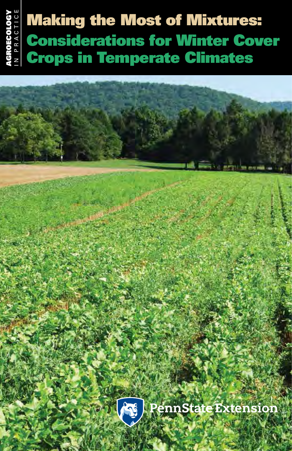# Making the Most of Mixtures: Considerations for Winter Cover Crops in Temperate Climates



*Making the Most of Mixtures: Considerations for Winter Cover Crops in Temperate Climates* **1**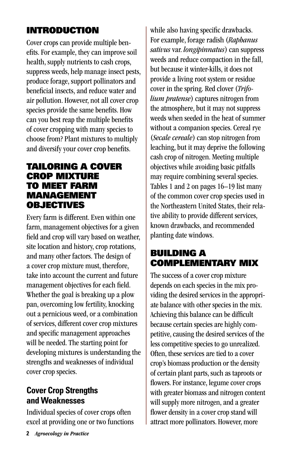# INTRODUCTION

Cover crops can provide multiple benefits. For example, they can improve soil health, supply nutrients to cash crops, suppress weeds, help manage insect pests, produce forage, support pollinators and beneficial insects, and reduce water and air pollution. However, not all cover crop species provide the same benefits. How can you best reap the multiple benefits of cover cropping with many species to choose from? Plant mixtures to multiply and diversify your cover crop benefits.

#### TAILORING A COVER CROP MIXTURE TO MEET FARM MANAGEMENT **OBJECTIVES**

Every farm is different. Even within one farm, management objectives for a given field and crop will vary based on weather, site location and history, crop rotations, and many other factors. The design of a cover crop mixture must, therefore, take into account the current and future management objectives for each field. Whether the goal is breaking up a plow pan, overcoming low fertility, knocking out a pernicious weed, or a combination of services, different cover crop mixtures and specific management approaches will be needed. The starting point for developing mixtures is understanding the strengths and weaknesses of individual cover crop species.

### **Cover Crop Strengths and Weaknesses**

Individual species of cover crops often excel at providing one or two functions while also having specific drawbacks. For example, forage radish (*Raphanus sativus* var. *longipinnatus*) can suppress weeds and reduce compaction in the fall, but because it winter-kills, it does not provide a living root system or residue cover in the spring. Red clover (*Trifolium pratense*) captures nitrogen from the atmosphere, but it may not suppress weeds when seeded in the heat of summer without a companion species. Cereal rye (*Secale cereale*) can stop nitrogen from leaching, but it may deprive the following cash crop of nitrogen. Meeting multiple objectives while avoiding basic pitfalls may require combining several species. Tables 1 and 2 on pages 16–19 list many of the common cover crop species used in the Northeastern United States, their relative ability to provide different services, known drawbacks, and recommended planting date windows.

# BUILDING A COMPLEMENTARY MIX

The success of a cover crop mixture depends on each species in the mix providing the desired services in the appropriate balance with other species in the mix. Achieving this balance can be difficult because certain species are highly competitive, causing the desired services of the less competitive species to go unrealized. Often, these services are tied to a cover crop's biomass production or the density of certain plant parts, such as taproots or flowers. For instance, legume cover crops with greater biomass and nitrogen content will supply more nitrogen, and a greater flower density in a cover crop stand will attract more pollinators. However, more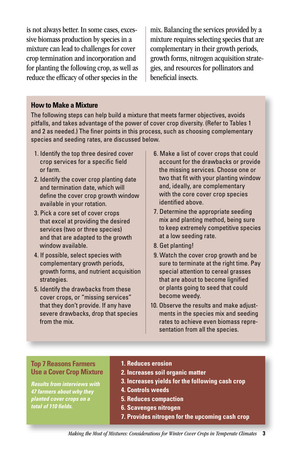is not always better. In some cases, excessive biomass production by species in a mixture can lead to challenges for cover crop termination and incorporation and for planting the following crop, as well as reduce the efficacy of other species in the

mix. Balancing the services provided by a mixture requires selecting species that are complementary in their growth periods, growth forms, nitrogen acquisition strategies, and resources for pollinators and beneficial insects.

#### **How to Make a Mixture**

The following steps can help build a mixture that meets farmer objectives, avoids pitfalls, and takes advantage of the power of cover crop diversity. (Refer to Tables 1 and 2 as needed.) The finer points in this process, such as choosing complementary species and seeding rates, are discussed below.

- 1. Identify the top three desired cover crop services for a specific field or farm.
- 2. Identify the cover crop planting date and termination date, which will define the cover crop growth window available in your rotation.
- 3. Pick a core set of cover crops that excel at providing the desired services (two or three species) and that are adapted to the growth window available.
- 4. If possible, select species with complementary growth periods, growth forms, and nutrient acquisition strategies.
- 5. Identify the drawbacks from these cover crops, or "missing services" that they don't provide. If any have severe drawbacks, drop that species from the mix.
- 6. Make a list of cover crops that could account for the drawbacks or provide the missing services. Choose one or two that fit with your planting window and, ideally, are complementary with the core cover crop species identified above.
- 7. Determine the appropriate seeding mix and planting method, being sure to keep extremely competitive species at a low seeding rate.
- 8. Get planting!
- 9. Watch the cover crop growth and be sure to terminate at the right time. Pay special attention to cereal grasses that are about to become lignified or plants going to seed that could become weedy.
- 10. Observe the results and make adjustments in the species mix and seeding rates to achieve even biomass representation from all the species.

#### **Top 7 Reasons Farmers Use a Cover Crop Mixture**

*Results from interviews with 47 farmers about why they planted cover crops on a total of 110 fields.*

#### **1. Reduces erosion**

- **2. Increases soil organic matter**
- **3. Increases yields for the following cash crop**
- **4. Controls weeds**
- **5. Reduces compaction**
- **6. Scavenges nitrogen**
- **7. Provides nitrogen for the upcoming cash crop**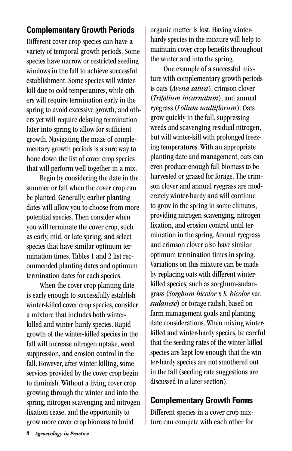## **Complementary Growth Periods**

Different cover crop species can have a variety of temporal growth periods. Some species have narrow or restricted seeding windows in the fall to achieve successful establishment. Some species will winterkill due to cold temperatures, while others will require termination early in the spring to avoid excessive growth, and others yet will require delaying termination later into spring to allow for sufficient growth. Navigating the maze of complementary growth periods is a sure way to hone down the list of cover crop species that will perform well together in a mix.

Begin by considering the date in the summer or fall when the cover crop can be planted. Generally, earlier planting dates will allow you to choose from more potential species. Then consider when you will terminate the cover crop, such as early, mid, or late spring, and select species that have similar optimum termination times. Tables 1 and 2 list recommended planting dates and optimum termination dates for each species.

When the cover crop planting date is early enough to successfully establish winter-killed cover crop species, consider a mixture that includes both winterkilled and winter-hardy species. Rapid growth of the winter-killed species in the fall will increase nitrogen uptake, weed suppression, and erosion control in the fall. However, after winter-killing, some services provided by the cover crop begin to diminish. Without a living cover crop growing through the winter and into the spring, nitrogen scavenging and nitrogen fixation cease, and the opportunity to grow more cover crop biomass to build

organic matter is lost. Having winterhardy species in the mixture will help to maintain cover crop benefits throughout the winter and into the spring.

One example of a successful mixture with complementary growth periods is oats (*Avena sativa*), crimson clover (*Trifolium incarnatum*), and annual ryegrass (*Lolium multiflorum*). Oats grow quickly in the fall, suppressing weeds and scavenging residual nitrogen, but will winter-kill with prolonged freezing temperatures. With an appropriate planting date and management, oats can even produce enough fall biomass to be harvested or grazed for forage. The crimson clover and annual ryegrass are moderately winter-hardy and will continue to grow in the spring in some climates, providing nitrogen scavenging, nitrogen fixation, and erosion control until termination in the spring. Annual ryegrass and crimson clover also have similar optimum termination times in spring. Variations on this mixture can be made by replacing oats with different winterkilled species, such as sorghum-sudangrass (*Sorghum bicolor* x *S. bicolor* var. *sudanese*) or forage radish, based on farm management goals and planting date considerations. When mixing winterkilled and winter-hardy species, be careful that the seeding rates of the winter-killed species are kept low enough that the winter-hardy species are not smothered out in the fall (seeding rate suggestions are discussed in a later section).

### **Complementary Growth Forms**

Different species in a cover crop mixture can compete with each other for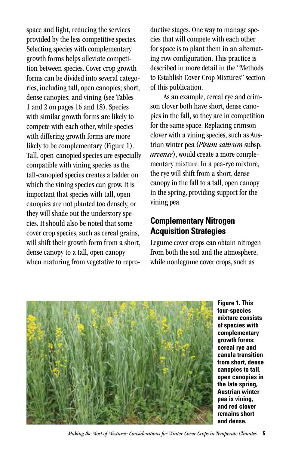space and light, reducing the services provided by the less competitive species. Selecting species with complementary growth forms helps alleviate competition between species. Cover crop growth forms can be divided into several categories, including tall, open canopies; short, dense canopies; and vining (see Tables 1 and 2 on pages 16 and 18). Species with similar growth forms are likely to compete with each other, while species with differing growth forms are more likely to be complementary (Figure 1). Tall, open-canopied species are especially compatible with vining species as the tall-canopied species creates a ladder on which the vining species can grow. It is important that species with tall, open canopies are not planted too densely, or they will shade out the understory species. It should also be noted that some cover crop species, such as cereal grains, will shift their growth form from a short, dense canopy to a tall, open canopy when maturing from vegetative to repro-

ductive stages. One way to manage species that will compete with each other for space is to plant them in an alternating row configuration. This practice is described in more detail in the "Methods to Establish Cover Crop Mixtures" section of this publication.

As an example, cereal rye and crimson clover both have short, dense canopies in the fall, so they are in competition for the same space. Replacing crimson clover with a vining species, such as Austrian winter pea (*Pisum sativum* subsp. *arvense*), would create a more complementary mixture. In a pea-rye mixture, the rye will shift from a short, dense canopy in the fall to a tall, open canopy in the spring, providing support for the vining pea.

# **Complementary Nitrogen Acquisition Strategies**

Legume cover crops can obtain nitrogen from both the soil and the atmosphere, while nonlegume cover crops, such as



**Figure 1. This four-species mixture consists of species with complementary growth forms: cereal rye and canola transition from short, dense canopies to tall, open canopies in the late spring, Austrian winter pea is vining, and red clover remains short and dense.**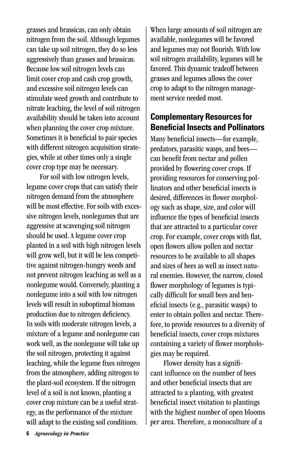grasses and brassicas, can only obtain nitrogen from the soil. Although legumes can take up soil nitrogen, they do so less aggressively than grasses and brassicas. Because low soil nitrogen levels can limit cover crop and cash crop growth, and excessive soil nitrogen levels can stimulate weed growth and contribute to nitrate leaching, the level of soil nitrogen availability should be taken into account when planning the cover crop mixture. Sometimes it is beneficial to pair species with different nitrogen acquisition strategies, while at other times only a single cover crop type may be necessary.

For soil with low nitrogen levels, legume cover crops that can satisfy their nitrogen demand from the atmosphere will be most effective. For soils with excessive nitrogen levels, nonlegumes that are aggressive at scavenging soil nitrogen should be used. A legume cover crop planted in a soil with high nitrogen levels will grow well, but it will be less competitive against nitrogen-hungry weeds and not prevent nitrogen leaching as well as a nonlegume would. Conversely, planting a nonlegume into a soil with low nitrogen levels will result in suboptimal biomass production due to nitrogen deficiency. In soils with moderate nitrogen levels, a mixture of a legume and nonlegume can work well, as the nonlegume will take up the soil nitrogen, protecting it against leaching, while the legume fixes nitrogen from the atmosphere, adding nitrogen to the plant-soil ecosystem. If the nitrogen level of a soil is not known, planting a cover crop mixture can be a useful strategy, as the performance of the mixture will adapt to the existing soil conditions.

When large amounts of soil nitrogen are available, nonlegumes will be favored and legumes may not flourish. With low soil nitrogen availability, legumes will be favored. This dynamic tradeoff between grasses and legumes allows the cover crop to adapt to the nitrogen management service needed most.

#### **Complementary Resources for Beneficial Insects and Pollinators**

Many beneficial insects—for example, predators, parasitic wasps, and bees can benefit from nectar and pollen provided by flowering cover crops. If providing resources for conserving pollinators and other beneficial insects is desired, differences in flower morphology such as shape, size, and color will influence the types of beneficial insects that are attracted to a particular cover crop. For example, cover crops with flat, open flowers allow pollen and nectar resources to be available to all shapes and sizes of bees as well as insect natural enemies. However, the narrow, closed flower morphology of legumes is typically difficult for small bees and beneficial insects (e.g., parasitic wasps) to enter to obtain pollen and nectar. Therefore, to provide resources to a diversity of beneficial insects, cover crops mixtures containing a variety of flower morphologies may be required.

Flower density has a significant influence on the number of bees and other beneficial insects that are attracted to a planting, with greatest beneficial insect visitation to plantings with the highest number of open blooms per area. Therefore, a monoculture of a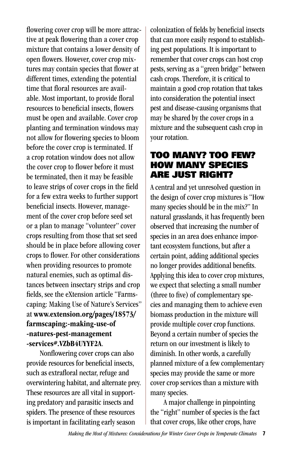flowering cover crop will be more attractive at peak flowering than a cover crop mixture that contains a lower density of open flowers. However, cover crop mixtures may contain species that flower at different times, extending the potential time that floral resources are available. Most important, to provide floral resources to beneficial insects, flowers must be open and available. Cover crop planting and termination windows may not allow for flowering species to bloom before the cover crop is terminated. If a crop rotation window does not allow the cover crop to flower before it must be terminated, then it may be feasible to leave strips of cover crops in the field for a few extra weeks to further support beneficial insects. However, management of the cover crop before seed set or a plan to manage "volunteer" cover crops resulting from those that set seed should be in place before allowing cover crops to flower. For other considerations when providing resources to promote natural enemies, such as optimal distances between insectary strips and crop fields, see the eXtension article "Farmscaping: Making Use of Nature's Services" at www.extension.org/pages/18573/ farmscaping:-making-use-of -natures-pest-management -services#.VZbB4UYYF2A.

Nonflowering cover crops can also provide resources for beneficial insects, such as extrafloral nectar, refuge and overwintering habitat, and alternate prey. These resources are all vital in supporting predatory and parasitic insects and spiders. The presence of these resources is important in facilitating early season

colonization of fields by beneficial insects that can more easily respond to establishing pest populations. It is important to remember that cover crops can host crop pests, serving as a "green bridge" between cash crops. Therefore, it is critical to maintain a good crop rotation that takes into consideration the potential insect pest and disease-causing organisms that may be shared by the cover crops in a mixture and the subsequent cash crop in your rotation.

#### TOO MANY? TOO FEW? HOW MANY SPECIES ARE JUST RIGHT?

A central and yet unresolved question in the design of cover crop mixtures is "How many species should be in the mix?" In natural grasslands, it has frequently been observed that increasing the number of species in an area does enhance important ecosystem functions, but after a certain point, adding additional species no longer provides additional benefits. Applying this idea to cover crop mixtures, we expect that selecting a small number (three to five) of complementary species and managing them to achieve even biomass production in the mixture will provide multiple cover crop functions. Beyond a certain number of species the return on our investment is likely to diminish. In other words, a carefully planned mixture of a few complementary species may provide the same or more cover crop services than a mixture with many species.

A major challenge in pinpointing the "right" number of species is the fact that cover crops, like other crops, have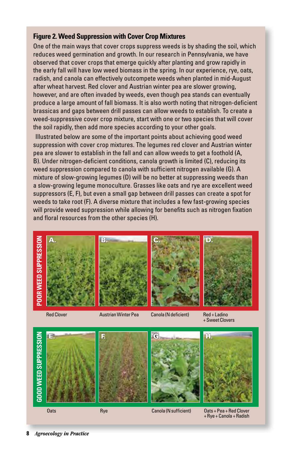#### **Figure 2. Weed Suppression with Cover Crop Mixtures**

One of the main ways that cover crops suppress weeds is by shading the soil, which reduces weed germination and growth. In our research in Pennsylvania, we have observed that cover crops that emerge quickly after planting and grow rapidly in the early fall will have low weed biomass in the spring. In our experience, rye, oats, radish, and canola can effectively outcompete weeds when planted in mid-August after wheat harvest. Red clover and Austrian winter pea are slower growing, however, and are often invaded by weeds, even though pea stands can eventually produce a large amount of fall biomass. It is also worth noting that nitrogen-deficient brassicas and gaps between drill passes can allow weeds to establish. To create a weed-suppressive cover crop mixture, start with one or two species that will cover the soil rapidly, then add more species according to your other goals.

Illustrated below are some of the important points about achieving good weed suppression with cover crop mixtures. The legumes red clover and Austrian winter pea are slower to establish in the fall and can allow weeds to get a foothold (A, B). Under nitrogen-deficient conditions, canola growth is limited (C), reducing its weed suppression compared to canola with sufficient nitrogen available (G). A mixture of slow-growing legumes (D) will be no better at suppressing weeds than a slow-growing legume monoculture. Grasses like oats and rye are excellent weed suppressors (E, F), but even a small gap between drill passes can create a spot for weeds to take root (F). A diverse mixture that includes a few fast-growing species will provide weed suppression while allowing for benefits such as nitrogen fixation and floral resources from the other species (H).





A.







Red Clover

#### Austrian Winter Pea

Canola (N deficient)

Red + Ladino + Sweet Clovers



Rye

Canola (N sufficient)

Oats + Pea + Red Clover + Rye + Canola + Radish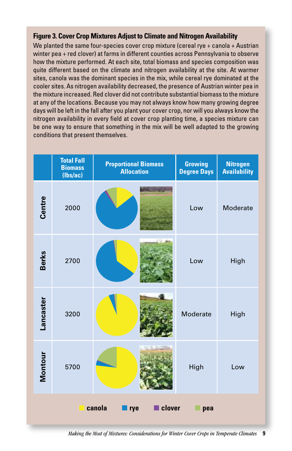#### **Figure 3. Cover Crop Mixtures Adjust to Climate and Nitrogen Availability**

We planted the same four-species cover crop mixture (cereal rye + canola + Austrian winter pea + red clover) at farms in different counties across Pennsylvania to observe how the mixture performed. At each site, total biomass and species composition was quite different based on the climate and nitrogen availability at the site. At warmer sites, canola was the dominant species in the mix, while cereal rye dominated at the cooler sites. As nitrogen availability decreased, the presence of Austrian winter pea in the mixture increased. Red clover did not contribute substantial biomass to the mixture at any of the locations. Because you may not always know how many growing degree days will be left in the fall after you plant your cover crop, nor will you always know the nitrogen availability in every field at cover crop planting time, a species mixture can be one way to ensure that something in the mix will be well adapted to the growing conditions that present themselves.

|                                | <b>Total Fall</b><br><b>Biomass</b><br>(lbs/ac) | <b>Proportional Biomass</b><br><b>Allocation</b> | <b>Growing</b><br><b>Degree Days</b> | <b>Nitrogen</b><br><b>Availability</b> |  |  |  |  |
|--------------------------------|-------------------------------------------------|--------------------------------------------------|--------------------------------------|----------------------------------------|--|--|--|--|
| Centre                         | 2000                                            |                                                  | Low                                  | Moderate                               |  |  |  |  |
| <b>Berks</b>                   | 2700                                            |                                                  | Low                                  | High                                   |  |  |  |  |
| Lancaster                      | 3200                                            |                                                  | Moderate                             | High                                   |  |  |  |  |
| Montour                        | 5700                                            |                                                  | High                                 | Low                                    |  |  |  |  |
| canola<br>clover<br>rye<br>pea |                                                 |                                                  |                                      |                                        |  |  |  |  |

*Making the Most of Mixtures: Considerations for Winter Cover Crops in Temperate Climates* **9**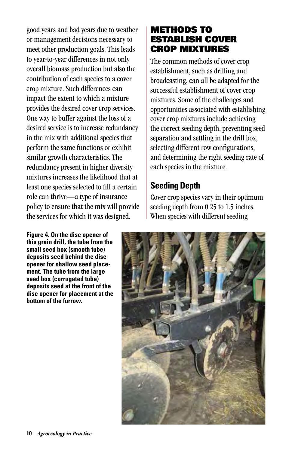good years and bad years due to weather or management decisions necessary to meet other production goals. This leads to year-to-year differences in not only overall biomass production but also the contribution of each species to a cover crop mixture. Such differences can impact the extent to which a mixture provides the desired cover crop services. One way to buffer against the loss of a desired service is to increase redundancy in the mix with additional species that perform the same functions or exhibit similar growth characteristics. The redundancy present in higher diversity mixtures increases the likelihood that at least one species selected to fill a certain role can thrive—a type of insurance policy to ensure that the mix will provide the services for which it was designed.

**Figure 4. On the disc opener of this grain drill, the tube from the small seed box (smooth tube) deposits seed behind the disc opener for shallow seed placement. The tube from the large seed box (corrugated tube) deposits seed at the front of the disc opener for placement at the bottom of the furrow.**

# METHODS TO ESTABLISH COVER CROP MIXTURES

The common methods of cover crop establishment, such as drilling and broadcasting, can all be adapted for the successful establishment of cover crop mixtures. Some of the challenges and opportunities associated with establishing cover crop mixtures include achieving the correct seeding depth, preventing seed separation and settling in the drill box, selecting different row configurations, and determining the right seeding rate of each species in the mixture.

# **Seeding Depth**

Cover crop species vary in their optimum seeding depth from 0.25 to 1.5 inches. When species with different seeding

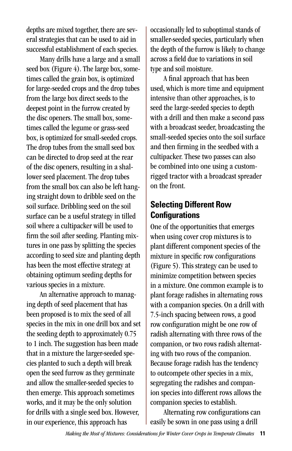depths are mixed together, there are several strategies that can be used to aid in successful establishment of each species.

Many drills have a large and a small seed box (Figure 4). The large box, sometimes called the grain box, is optimized for large-seeded crops and the drop tubes from the large box direct seeds to the deepest point in the furrow created by the disc openers. The small box, sometimes called the legume or grass-seed box, is optimized for small-seeded crops. The drop tubes from the small seed box can be directed to drop seed at the rear of the disc openers, resulting in a shallower seed placement. The drop tubes from the small box can also be left hanging straight down to dribble seed on the soil surface. Dribbling seed on the soil surface can be a useful strategy in tilled soil where a cultipacker will be used to firm the soil after seeding. Planting mixtures in one pass by splitting the species according to seed size and planting depth has been the most effective strategy at obtaining optimum seeding depths for various species in a mixture.

An alternative approach to managing depth of seed placement that has been proposed is to mix the seed of all species in the mix in one drill box and set the seeding depth to approximately 0.75 to 1 inch. The suggestion has been made that in a mixture the larger-seeded species planted to such a depth will break open the seed furrow as they germinate and allow the smaller-seeded species to then emerge. This approach sometimes works, and it may be the only solution for drills with a single seed box. However, in our experience, this approach has

occasionally led to suboptimal stands of smaller-seeded species, particularly when the depth of the furrow is likely to change across a field due to variations in soil type and soil moisture.

A final approach that has been used, which is more time and equipment intensive than other approaches, is to seed the large-seeded species to depth with a drill and then make a second pass with a broadcast seeder, broadcasting the small-seeded species onto the soil surface and then firming in the seedbed with a cultipacker. These two passes can also be combined into one using a customrigged tractor with a broadcast spreader on the front.

# **Selecting Different Row Configurations**

One of the opportunities that emerges when using cover crop mixtures is to plant different component species of the mixture in specific row configurations (Figure 5). This strategy can be used to minimize competition between species in a mixture. One common example is to plant forage radishes in alternating rows with a companion species. On a drill with 7.5-inch spacing between rows, a good row configuration might be one row of radish alternating with three rows of the companion, or two rows radish alternating with two rows of the companion. Because forage radish has the tendency to outcompete other species in a mix, segregating the radishes and companion species into different rows allows the companion species to establish.

Alternating row configurations can easily be sown in one pass using a drill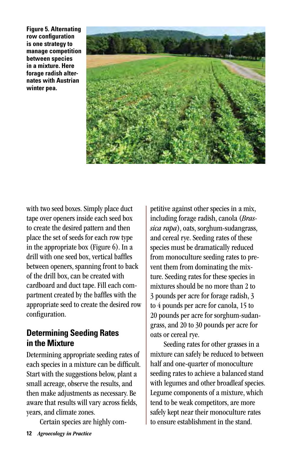**Figure 5. Alternating row configuration is one strategy to manage competition between species in a mixture. Here forage radish alternates with Austrian winter pea.**



with two seed boxes. Simply place duct tape over openers inside each seed box to create the desired pattern and then place the set of seeds for each row type in the appropriate box (Figure 6). In a drill with one seed box, vertical baffles between openers, spanning front to back of the drill box, can be created with cardboard and duct tape. Fill each compartment created by the baffles with the appropriate seed to create the desired row configuration.

### **Determining Seeding Rates in the Mixture**

Determining appropriate seeding rates of each species in a mixture can be difficult. Start with the suggestions below, plant a small acreage, observe the results, and then make adjustments as necessary. Be aware that results will vary across fields, years, and climate zones.

Certain species are highly com-

petitive against other species in a mix, including forage radish, canola (*Brassica rapa*), oats, sorghum-sudangrass, and cereal rye. Seeding rates of these species must be dramatically reduced from monoculture seeding rates to prevent them from dominating the mixture. Seeding rates for these species in mixtures should be no more than 2 to 3 pounds per acre for forage radish, 3 to 4 pounds per acre for canola, 15 to 20 pounds per acre for sorghum-sudangrass, and 20 to 30 pounds per acre for oats or cereal rye.

Seeding rates for other grasses in a mixture can safely be reduced to between half and one-quarter of monoculture seeding rates to achieve a balanced stand with legumes and other broadleaf species. Legume components of a mixture, which tend to be weak competitors, are more safely kept near their monoculture rates to ensure establishment in the stand.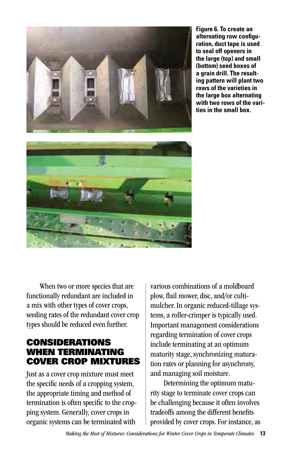

**Figure 6. To create an alternating row configuration, duct tape is used to seal off openers in the large (top) and small (bottom) seed boxes of a grain drill. The resulting pattern will plant two rows of the varieties in the large box alternating with two rows of the varities in the small box.**

When two or more species that are functionally redundant are included in a mix with other types of cover crops, seeding rates of the redundant cover crop types should be reduced even further.

### CONSIDERATIONS WHEN TERMINATING COVER CROP MIXTURES

Just as a cover crop mixture must meet the specific needs of a cropping system, the appropriate timing and method of termination is often specific to the cropping system. Generally, cover crops in organic systems can be terminated with

various combinations of a moldboard plow, flail mower, disc, and/or cultimulcher. In organic reduced-tillage systems, a roller-crimper is typically used. Important management considerations regarding termination of cover crops include terminating at an optimum maturity stage, synchronizing maturation rates or planning for asynchrony, and managing soil moisture.

Determining the optimum maturity stage to terminate cover crops can be challenging because it often involves tradeoffs among the different benefits provided by cover crops. For instance, as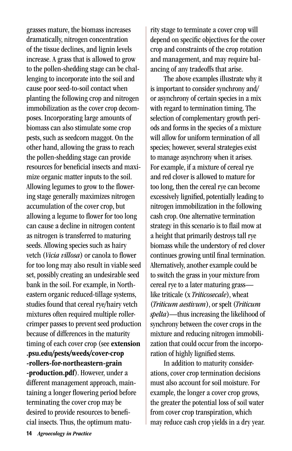grasses mature, the biomass increases dramatically, nitrogen concentration of the tissue declines, and lignin levels increase. A grass that is allowed to grow to the pollen-shedding stage can be challenging to incorporate into the soil and cause poor seed-to-soil contact when planting the following crop and nitrogen immobilization as the cover crop decomposes. Incorporating large amounts of biomass can also stimulate some crop pests, such as seedcorn maggot. On the other hand, allowing the grass to reach the pollen-shedding stage can provide resources for beneficial insects and maximize organic matter inputs to the soil. Allowing legumes to grow to the flowering stage generally maximizes nitrogen accumulation of the cover crop, but allowing a legume to flower for too long can cause a decline in nitrogen content as nitrogen is transferred to maturing seeds. Allowing species such as hairy vetch (*Vicia villosa*) or canola to flower for too long may also result in viable seed set, possibly creating an undesirable seed bank in the soil. For example, in Northeastern organic reduced-tillage systems, studies found that cereal rye/hairy vetch mixtures often required multiple rollercrimper passes to prevent seed production because of differences in the maturity timing of each cover crop (see extension .psu.edu/pests/weeds/cover-crop -rollers-for-northeastern-grain -production.pdf). However, under a different management approach, maintaining a longer flowering period before terminating the cover crop may be desired to provide resources to beneficial insects. Thus, the optimum matu-

rity stage to terminate a cover crop will depend on specific objectives for the cover crop and constraints of the crop rotation and management, and may require balancing of any tradeoffs that arise.

The above examples illustrate why it is important to consider synchrony and/ or asynchrony of certain species in a mix with regard to termination timing. The selection of complementary growth periods and forms in the species of a mixture will allow for uniform termination of all species; however, several strategies exist to manage asynchrony when it arises. For example, if a mixture of cereal rye and red clover is allowed to mature for too long, then the cereal rye can become excessively lignified, potentially leading to nitrogen immobilization in the following cash crop. One alternative termination strategy in this scenario is to flail mow at a height that primarily destroys tall rye biomass while the understory of red clover continues growing until final termination. Alternatively, another example could be to switch the grass in your mixture from cereal rye to a later maturing grass like triticale (x *Triticosecale*), wheat (*Triticum aestivum*), or spelt (*Triticum spelta*)—thus increasing the likelihood of synchrony between the cover crops in the mixture and reducing nitrogen immobilization that could occur from the incorporation of highly lignified stems.

In addition to maturity considerations, cover crop termination decisions must also account for soil moisture. For example, the longer a cover crop grows, the greater the potential loss of soil water from cover crop transpiration, which may reduce cash crop yields in a dry year.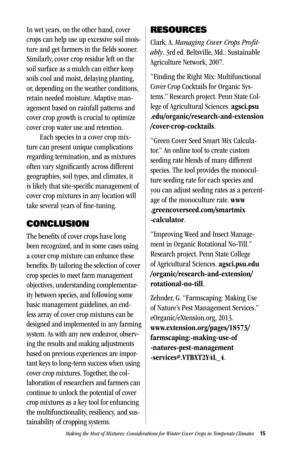In wet years, on the other hand, cover crops can help use up excessive soil moisture and get farmers in the fields sooner. Similarly, cover crop residue left on the soil surface as a mulch can either keep soils cool and moist, delaying planting, or, depending on the weather conditions, retain needed moisture. Adaptive management based on rainfall patterns and cover crop growth is crucial to optimize cover crop water use and retention.

Each species in a cover crop mixture can present unique complications regarding termination, and as mixtures often vary significantly across different geographies, soil types, and climates, it is likely that site-specific management of cover crop mixtures in any location will take several years of fine-tuning.

# CONCLUSION

The benefits of cover crops have long been recognized, and in some cases using a cover crop mixture can enhance these benefits. By tailoring the selection of cover crop species to meet farm management objectives, understanding complementarity between species, and following some basic management guidelines, an endless array of cover crop mixtures can be designed and implemented in any farming system. As with any new endeavor, observing the results and making adjustments based on previous experiences are important keys to long-term success when using cover crop mixtures. Together, the collaboration of researchers and farmers can continue to unlock the potential of cover crop mixtures as a key tool for enhancing the multifunctionality, resiliency, and sustainability of cropping systems.

# RESOURCES

Clark, A. *Managing Cover Crops Profitably*. 3rd ed. Beltsville, Md.: Sustainable Agriculture Network, 2007.

"Finding the Right Mix: Multifunctional Cover Crop Cocktails for Organic Systems." Research project. Penn State College of Agricultural Sciences. agsci.psu .edu/organic/research-and-extension /cover-crop-cocktails.

"Green Cover Seed Smart Mix Calculator." An online tool to create custom seeding rate blends of many different species. The tool provides the monoculture seeding rate for each species and you can adjust seeding rates as a percentage of the monoculture rate. www .greencoverseed.com/smartmix -calculator.

"Improving Weed and Insect Management in Organic Rotational No-Till." Research project. Penn State College of Agricultural Sciences. agsci.psu.edu /organic/research-and-extension/ rotational-no-till.

Zehnder, G. "Farmscaping: Making Use of Nature's Pest Management Services." eOrganic/eXtension.org, 2013. www.extension.org/pages/18573/ farmscaping:-making-use-of -natures-pest-management -services#.VTBXT2Y4L\_4.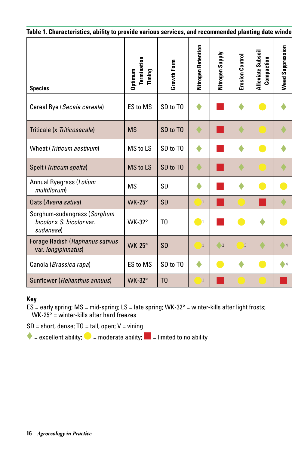| Table 1. Characteristics, ability to provide various services, and recommended planting date windo |                                  |                |                         |                     |                    |                                      |                            |  |  |  |
|----------------------------------------------------------------------------------------------------|----------------------------------|----------------|-------------------------|---------------------|--------------------|--------------------------------------|----------------------------|--|--|--|
| <b>Species</b>                                                                                     | Optimum<br>Termination<br>Timing | Growth Form    | Retention<br>Nitrogen I | Supply<br>Nitrogen: | Control<br>Erosion | Subsoil<br>Compaction<br>Alleviate S | Suppression<br><b>Weed</b> |  |  |  |
| Cereal Rye (Secale cereale)                                                                        | ES to MS                         | SD to TO       | ٠                       |                     |                    |                                      |                            |  |  |  |
| Triticale (x Triticosecale)                                                                        | <b>MS</b>                        | SD to TO       |                         |                     |                    |                                      |                            |  |  |  |
| Wheat (Triticum aestivum)                                                                          | MS to LS                         | SD to TO       | ٠                       |                     |                    |                                      |                            |  |  |  |
| Spelt (Triticum spelta)                                                                            | MS to LS                         | SD to TO       | ۰                       |                     |                    |                                      |                            |  |  |  |
| Annual Ryegrass (Lolium<br>multiflorum)                                                            | <b>MS</b>                        | SD             | ٠                       |                     |                    |                                      |                            |  |  |  |
| Oats (Avena sativa)                                                                                | <b>WK-25°</b>                    | SD             | $\mathbf{1}$            |                     |                    |                                      |                            |  |  |  |
| Sorghum-sudangrass (Sorghum<br>bicolor x S. bicolor var.<br>sudanese)                              | <b>WK-32°</b>                    | T <sub>0</sub> | $\bigcirc$              |                     |                    |                                      |                            |  |  |  |
| Forage Radish (Raphanus sativus<br>var. longipinnatus)                                             | <b>WK-25°</b>                    | SD             | $\mathbf{I}$            | $\bigcirc$ 2        | $\vert 3 \vert$    |                                      | $\sqrt{4}$                 |  |  |  |
| Canola (Brassica rapa)                                                                             | ES to MS                         | SD to TO       | ۰                       |                     |                    |                                      | $\bullet$ 4                |  |  |  |
| Sunflower (Helianthus annuus)                                                                      | <b>WK-32°</b>                    | T <sub>0</sub> | T                       |                     |                    |                                      |                            |  |  |  |

#### **Key**

 $ES$  = early spring; MS = mid-spring; LS = late spring; WK-32° = winter-kills after light frosts; WK-25° = winter-kills after hard freezes

 $SD = short, dense; TO = tall, open; V = winning$ 

 $\blacklozenge$  = excellent ability;  $\blacklozenge$  = moderate ability;  $\blacktriangleright$  = limited to no ability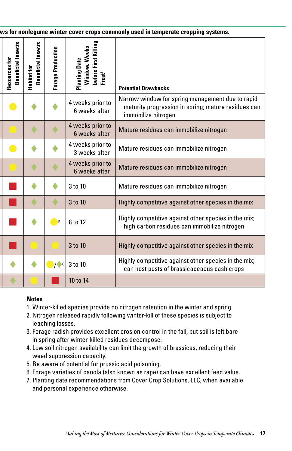|                                     | ws for nonlegume winter cover crops commonly used in temperate cropping systems. |                          |                                                                            |                                                                                                                                |  |  |  |
|-------------------------------------|----------------------------------------------------------------------------------|--------------------------|----------------------------------------------------------------------------|--------------------------------------------------------------------------------------------------------------------------------|--|--|--|
| Beneficial Insects<br>Resources for | <b>Beneficial Insects</b><br>Habitat for                                         | <b>Forage Production</b> | before First Killing<br>Window, Weeks<br><b>Planting Date</b><br>$Frost^7$ | <b>Potential Drawbacks</b>                                                                                                     |  |  |  |
|                                     |                                                                                  |                          | 4 weeks prior to<br>6 weeks after                                          | Narrow window for spring management due to rapid<br>maturity progression in spring; mature residues can<br>immobilize nitrogen |  |  |  |
|                                     |                                                                                  |                          | 4 weeks prior to<br>6 weeks after                                          | Mature residues can immobilize nitrogen                                                                                        |  |  |  |
|                                     |                                                                                  |                          | 4 weeks prior to<br>3 weeks after                                          | Mature residues can immobilize nitrogen                                                                                        |  |  |  |
|                                     |                                                                                  |                          | 4 weeks prior to<br>6 weeks after                                          | Mature residues can immobilize nitrogen                                                                                        |  |  |  |
|                                     |                                                                                  |                          | 3 to 10                                                                    | Mature residues can immobilize nitrogen                                                                                        |  |  |  |
|                                     |                                                                                  |                          | 3 to 10                                                                    | Highly competitive against other species in the mix                                                                            |  |  |  |
|                                     |                                                                                  | $\sqrt{5}$               | 8 to 12                                                                    | Highly competitive against other species in the mix;<br>high carbon residues can immobilize nitrogen                           |  |  |  |
|                                     |                                                                                  |                          | 3 to 10                                                                    | Highly competitive against other species in the mix                                                                            |  |  |  |
|                                     |                                                                                  | 16                       | 3 to 10                                                                    | Highly competitive against other species in the mix;<br>can host pests of brassicaceaous cash crops                            |  |  |  |
|                                     |                                                                                  |                          | 10 to 14                                                                   |                                                                                                                                |  |  |  |

#### **Notes**

- 1. Winter-killed species provide no nitrogen retention in the winter and spring.
- 2. Nitrogen released rapidly following winter-kill of these species is subject to leaching losses.
- 3. Forage radish provides excellent erosion control in the fall, but soil is left bare in spring after winter-killed residues decompose.
- 4. Low soil nitrogen availability can limit the growth of brassicas, reducing their weed suppression capacity.
- 5. Be aware of potential for prussic acid poisoning.
- 6. Forage varieties of canola (also known as rape) can have excellent feed value.
- 7. Planting date recommendations from Cover Crop Solutions, LLC, when available and personal experience otherwise.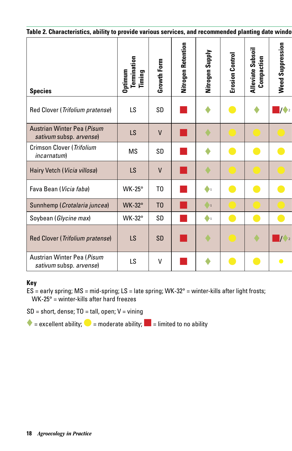| Table 2. Characteristics, ability to provide various services, and recommended planting date windo |                                  |                |                        |                            |                        |                                                  |                                                     |  |  |  |
|----------------------------------------------------------------------------------------------------|----------------------------------|----------------|------------------------|----------------------------|------------------------|--------------------------------------------------|-----------------------------------------------------|--|--|--|
| <b>Species</b>                                                                                     | Termination<br>Optimum<br>Timing | Growth Form    | Nitrogen Retention     | <b>Supply</b><br>Nitrogen: | <b>Erosion Control</b> | Subsoil<br><b>Alleviate Subson</b><br>Compaction | <b>Weed Suppression</b>                             |  |  |  |
| Red Clover (Trifolium pratense)                                                                    | LS                               | SD             |                        | ♦                          |                        |                                                  | $\blacksquare$ / $\blacktriangleright$ <sub>2</sub> |  |  |  |
| Austrian Winter Pea (Pisum<br>sativum subsp. arvense)                                              | LS                               | $\mathsf{V}$   |                        | ٠                          |                        |                                                  |                                                     |  |  |  |
| Crimson Clover (Trifolium<br><i>incarnatum</i> )                                                   | MS                               | SD             |                        | ٠                          | o a                    |                                                  | $\bullet$                                           |  |  |  |
| Hairy Vetch (Vicia villosa)                                                                        | LS                               | V              |                        | ♦                          |                        |                                                  |                                                     |  |  |  |
| Fava Bean (Vicia faba)                                                                             | $WK-25^\circ$                    | T <sub>0</sub> | <b>Service Service</b> | $\clubsuit_1$              |                        |                                                  | $\bullet$                                           |  |  |  |
| Sunnhemp (Crotalaria juncea)                                                                       | <b>WK-32°</b>                    | T <sub>0</sub> |                        | $\bullet$                  |                        |                                                  |                                                     |  |  |  |
| Soybean (Glycine max)                                                                              | <b>WK-32°</b>                    | SD             |                        | $\clubsuit$                | e e                    |                                                  | $\blacksquare$                                      |  |  |  |
| Red Clover (Trifolium pratense)                                                                    | LS                               | SD             |                        | ۰                          |                        | ٠                                                | $\frac{1}{2}$                                       |  |  |  |
| Austrian Winter Pea (Pisum<br>sativum subsp. arvense)                                              | LS                               | V              |                        | 0                          |                        |                                                  | $\bullet$                                           |  |  |  |

#### **Key**

 $ES =$  early spring; MS = mid-spring; LS = late spring; WK-32° = winter-kills after light frosts; WK-25 $\degree$  = winter-kills after hard freezes

 $SD = short, dense; TO = tall, open; V = vining$ 

 $\blacklozenge$  = excellent ability;  $\blacklozenge$  = moderate ability;  $\blacktriangleright$  = limited to no ability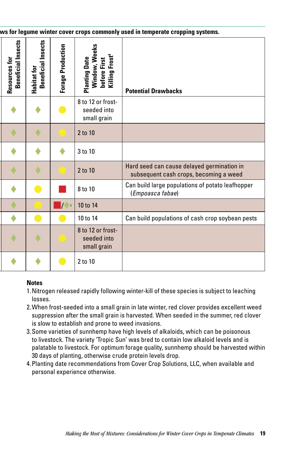| ws for legume winter cover crops commonly used in temperate cropping systems. |                                                    |                                               |                                                                                     |                                                                                      |  |  |
|-------------------------------------------------------------------------------|----------------------------------------------------|-----------------------------------------------|-------------------------------------------------------------------------------------|--------------------------------------------------------------------------------------|--|--|
| <b>Beneficial Insects</b><br>Resources for                                    | ects<br>s<br>≘<br><b>Beneficial</b><br>Habitat for | Forage Production                             | Window, Weeks<br>before First<br>Killing Frost <sup>4</sup><br><b>Planting Date</b> | <b>Potential Drawbacks</b>                                                           |  |  |
|                                                                               | ♦                                                  | $\bullet$                                     | 8 to 12 or frost-<br>seeded into<br>small grain                                     |                                                                                      |  |  |
|                                                                               | ♦                                                  |                                               | 2 to 10                                                                             |                                                                                      |  |  |
|                                                                               | ٠                                                  | ♦                                             | 3 to 10                                                                             |                                                                                      |  |  |
|                                                                               | ٠                                                  |                                               | 2 to 10                                                                             | Hard seed can cause delayed germination in<br>subsequent cash crops, becoming a weed |  |  |
|                                                                               |                                                    |                                               | 8 to 10                                                                             | Can build large populations of potato leafhopper<br>(Empoasca fabae)                 |  |  |
|                                                                               |                                                    | $\blacksquare$ / $\blacklozenge$ <sub>3</sub> | 10 to 14                                                                            |                                                                                      |  |  |
|                                                                               | C                                                  | $\bullet$                                     | 10 to 14                                                                            | Can build populations of cash crop soybean pests                                     |  |  |
|                                                                               | ▲                                                  |                                               | 8 to 12 or frost-<br>seeded into<br>small grain                                     |                                                                                      |  |  |
|                                                                               |                                                    |                                               | 2 to 10                                                                             |                                                                                      |  |  |

#### **Notes**

- 1.Nitrogen released rapidly following winter-kill of these species is subject to leaching losses.
- 2.When frost-seeded into a small grain in late winter, red clover provides excellent weed suppression after the small grain is harvested. When seeded in the summer, red clover is slow to establish and prone to weed invasions.
- 3.Some varieties of sunnhemp have high levels of alkaloids, which can be poisonous to livestock. The variety 'Tropic Sun' was bred to contain low alkaloid levels and is palatable to livestock. For optimum forage quality, sunnhemp should be harvested within 30 days of planting, otherwise crude protein levels drop.
- 4.Planting date recommendations from Cover Crop Solutions, LLC, when available and personal experience otherwise.